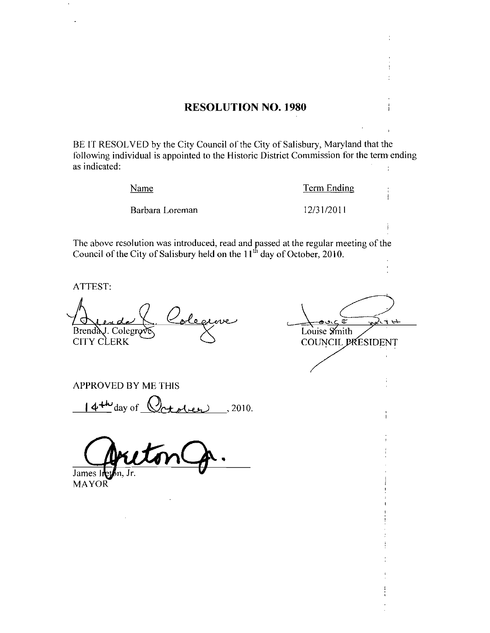### RESOLUTION NO. 1980

BE IT RESOLVED by the City Council of the City of Salisbury, Maryland that the following individual is appointed to the Historic District Commission for the term ending as indicated  $\ddot{\phantom{a}}$ 

Name

Term Ending<br>12/31/2011

Barbara Loreman

The above resolution was introduced, read and passed at the regular meeting of the Council of the City of Salisbury held on the  $11<sup>th</sup>$  day of October, 2010.

ATTEST

ole Brenda<sub>J</sub>. Colegro CITY CLERK

<u>ي</u> Louise Smith COUNCIL PRESIDENT

APPROVED BY ME THIS

 $\frac{44\omega}{\omega}$ day of  $\frac{6\omega + 1.2010}{\omega}$ 

James 1

MAYOR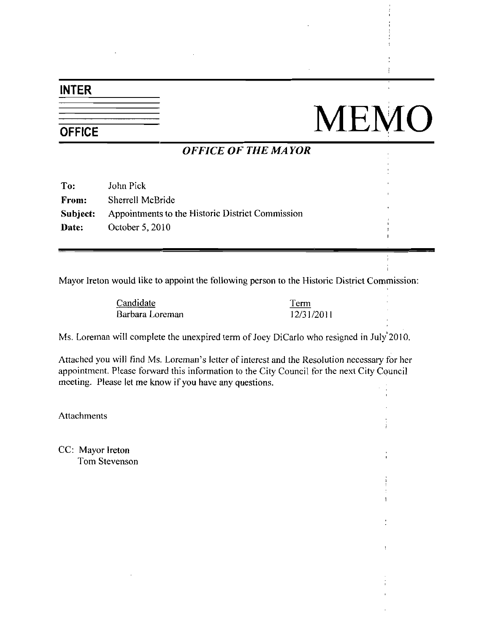## INTER

# NEMO

## OFFICE OF THE MAYOR

| To:          | John Pick                                        |
|--------------|--------------------------------------------------|
| <b>From:</b> | Sherrell McBride                                 |
| Subject:     | Appointments to the Historic District Commission |
| Date:        | October 5, 2010                                  |

Mayor Ireton would like to appoint the following person to the Historic District Commission

| Candidate |                 |  |  |
|-----------|-----------------|--|--|
|           | Barbara Loreman |  |  |

Term 12312011

Ms. Loreman will complete the unexpired term of Joey DiCarlo who resigned in July 2010.

Attached you will find Ms. Loreman's letter of interest and the Resolution necessary for her appointment. Please forward this information to the City Council for the next City Council meeting. Please let me know if you have any questions.

**Attachments** 

CC: Mayor Ireton Tom Stevenson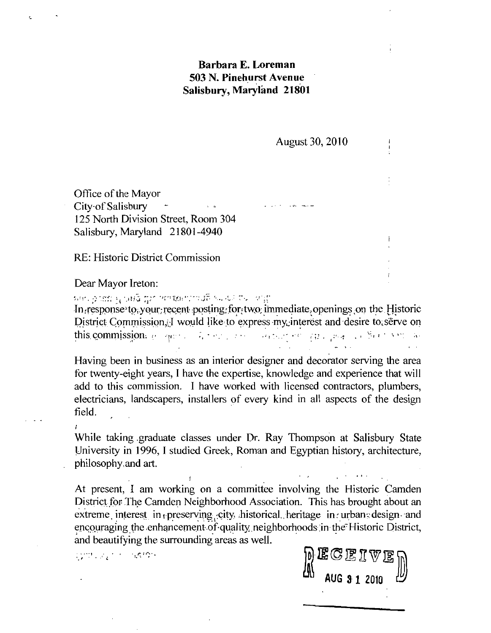## Barbara E. Loreman 503 N. Pinehurst Avenue Salisbury, Maryland 21801

August 30, 2010

Office of the Mayor Office of the Mayor<br>City of Salisbury Year 2014 125 North Division Street, Room 304 Salisbury, Maryland 21801-4940

RE: Historic District Commission

Dear Mayor Ireton

1919 position of the United States of the United States of the United States of the United States in the United States of the United States of the United States of District Commission, J would like to express my interest a Office of the Mayor<br>
125 North Division Street, Room 304<br>
Salisbury, Maryland 21801-4940<br>
RE: Historic District Commission<br>
Dear Mayor Iretor:<br>
Interest and the property of the Commission of the Historic<br>
Interest and desi In response to your recent posting for two immediate openings on the Historic District Commission. I would like to express my interest and desire to serve on this commission.

Barbara E. Loreman<br>
503 N. Pinehurst Avenue<br>
Salisbury, Maryland 21801<br>
August 30, 2010<br>
Office of the Mayor<br>
City of Salisbury<br>
The Mayor<br>
City of Salisbury<br>
The Mayor<br>
218 North Division Street, Room 304<br>
Salisbury, Mar **Example 12 Solution**<br> **Example 12 Solution**<br> **Example 12 Solution State Salisbury, Maryland 21801**<br>
August 30, 2010<br>
Office of the Mayor<br>
City of Salisbury<br>
125 North Division Street, Room 304<br>
Salisbury, Maryland 21801-Having been in business as an interior designer and decorator serving the area for twenty-eight years. I have the expertise, knowledge and experience that will add to this commission. I have worked with licensed contractors, plumbers, electricians, landscapers, installers of every kind in all aspects of the design field

While taking graduate classes under Dr. Ray Thompson at Salisbury State University in 1996, I studied Greek, Roman and Egyptian history, architecture while taking grad<br>University in 1996<br>philosophy and art

At present, I am working on a committee involving the Historic Camden District for The Camden Neighborhood Association. This has brought about an extreme interest in preserving city historical heritage in urban design and encouraging the enhancement of quality neighborhoods in the Historic District, University in 1996, I studied Greek, Roman and Egyptian history, architecture<br>philosophy.and art.<br>At present, I am working on a committee involving the Historic Camder<br>District for The Camden Neighborhood Association. Thi and beautifying the surrounding areas as well